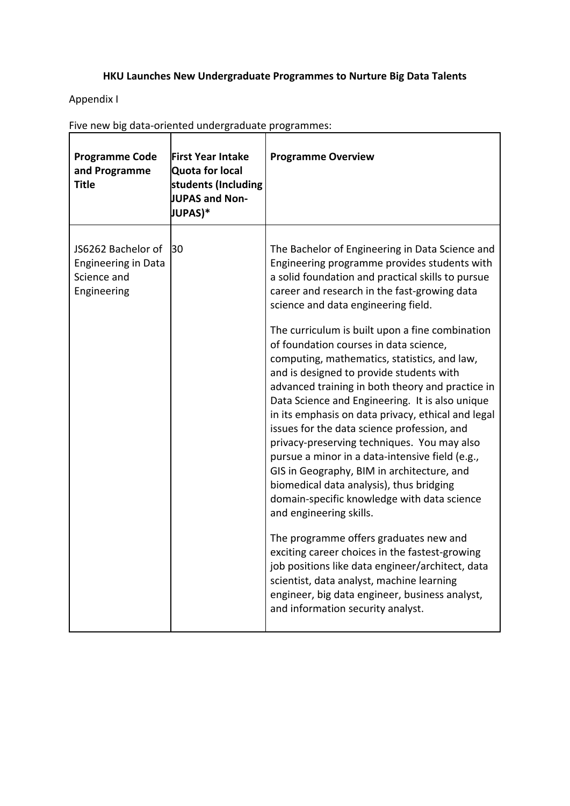## **HKU Launches New Undergraduate Programmes to Nurture Big Data Talents**

Appendix I

| <b>Programme Code</b><br>and Programme<br>Title                                | <b>First Year Intake</b><br><b>Quota for local</b><br>students (Including<br>JUPAS and Non-<br>JUPAS)* | <b>Programme Overview</b>                                                                                                                                                                                                                                                                                                                                                                                                                                                                                                                                                                                                                                               |
|--------------------------------------------------------------------------------|--------------------------------------------------------------------------------------------------------|-------------------------------------------------------------------------------------------------------------------------------------------------------------------------------------------------------------------------------------------------------------------------------------------------------------------------------------------------------------------------------------------------------------------------------------------------------------------------------------------------------------------------------------------------------------------------------------------------------------------------------------------------------------------------|
| JS6262 Bachelor of<br><b>Engineering in Data</b><br>Science and<br>Engineering | 130                                                                                                    | The Bachelor of Engineering in Data Science and<br>Engineering programme provides students with<br>a solid foundation and practical skills to pursue<br>career and research in the fast-growing data<br>science and data engineering field.                                                                                                                                                                                                                                                                                                                                                                                                                             |
|                                                                                |                                                                                                        | The curriculum is built upon a fine combination<br>of foundation courses in data science,<br>computing, mathematics, statistics, and law,<br>and is designed to provide students with<br>advanced training in both theory and practice in<br>Data Science and Engineering. It is also unique<br>in its emphasis on data privacy, ethical and legal<br>issues for the data science profession, and<br>privacy-preserving techniques. You may also<br>pursue a minor in a data-intensive field (e.g.,<br>GIS in Geography, BIM in architecture, and<br>biomedical data analysis), thus bridging<br>domain-specific knowledge with data science<br>and engineering skills. |
|                                                                                |                                                                                                        | The programme offers graduates new and<br>exciting career choices in the fastest-growing<br>job positions like data engineer/architect, data<br>scientist, data analyst, machine learning<br>engineer, big data engineer, business analyst,<br>and information security analyst.                                                                                                                                                                                                                                                                                                                                                                                        |

Five new big data‐oriented undergraduate programmes: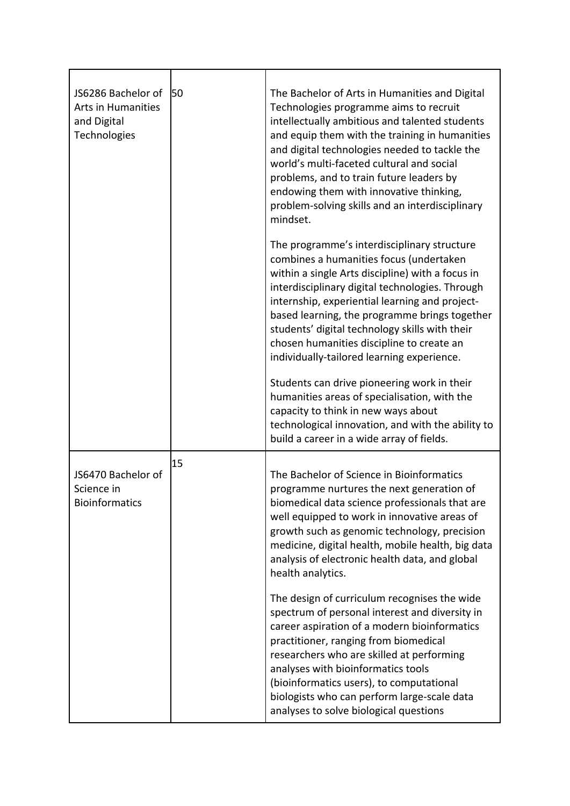| JS6286 Bachelor of<br><b>Arts in Humanities</b><br>and Digital<br>Technologies | 50 | The Bachelor of Arts in Humanities and Digital<br>Technologies programme aims to recruit<br>intellectually ambitious and talented students<br>and equip them with the training in humanities<br>and digital technologies needed to tackle the<br>world's multi-faceted cultural and social<br>problems, and to train future leaders by<br>endowing them with innovative thinking,<br>problem-solving skills and an interdisciplinary<br>mindset. |
|--------------------------------------------------------------------------------|----|--------------------------------------------------------------------------------------------------------------------------------------------------------------------------------------------------------------------------------------------------------------------------------------------------------------------------------------------------------------------------------------------------------------------------------------------------|
|                                                                                |    | The programme's interdisciplinary structure<br>combines a humanities focus (undertaken<br>within a single Arts discipline) with a focus in<br>interdisciplinary digital technologies. Through<br>internship, experiential learning and project-<br>based learning, the programme brings together<br>students' digital technology skills with their<br>chosen humanities discipline to create an<br>individually-tailored learning experience.    |
|                                                                                |    | Students can drive pioneering work in their<br>humanities areas of specialisation, with the<br>capacity to think in new ways about<br>technological innovation, and with the ability to<br>build a career in a wide array of fields.                                                                                                                                                                                                             |
| JS6470 Bachelor of<br>Science in<br><b>Bioinformatics</b>                      | 15 | The Bachelor of Science in Bioinformatics<br>programme nurtures the next generation of<br>biomedical data science professionals that are<br>well equipped to work in innovative areas of<br>growth such as genomic technology, precision<br>medicine, digital health, mobile health, big data<br>analysis of electronic health data, and global<br>health analytics.                                                                             |
|                                                                                |    | The design of curriculum recognises the wide<br>spectrum of personal interest and diversity in<br>career aspiration of a modern bioinformatics<br>practitioner, ranging from biomedical<br>researchers who are skilled at performing<br>analyses with bioinformatics tools<br>(bioinformatics users), to computational<br>biologists who can perform large-scale data<br>analyses to solve biological questions                                  |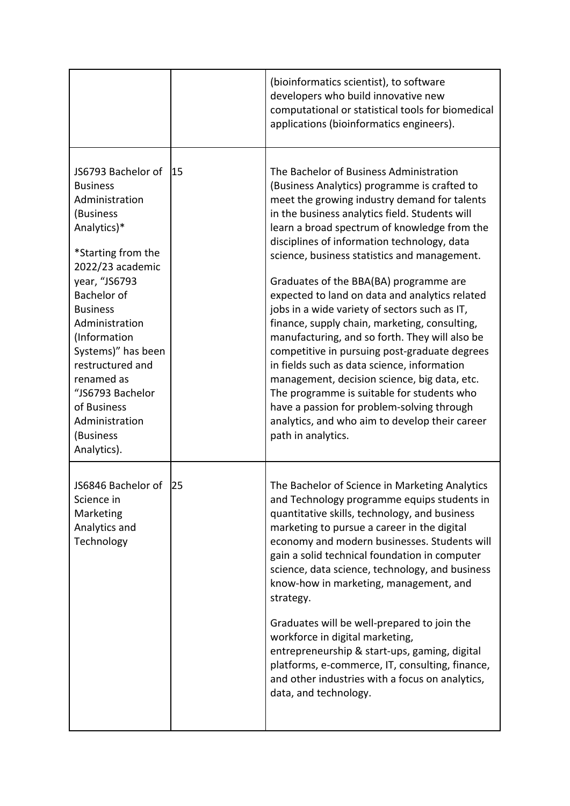|                                                                                                                                                                                                                                                                                                                                                                    |     | (bioinformatics scientist), to software<br>developers who build innovative new<br>computational or statistical tools for biomedical<br>applications (bioinformatics engineers).                                                                                                                                                                                                                                                                                                                                                                                                                                                                                                                                                                                                                                                                                                                              |
|--------------------------------------------------------------------------------------------------------------------------------------------------------------------------------------------------------------------------------------------------------------------------------------------------------------------------------------------------------------------|-----|--------------------------------------------------------------------------------------------------------------------------------------------------------------------------------------------------------------------------------------------------------------------------------------------------------------------------------------------------------------------------------------------------------------------------------------------------------------------------------------------------------------------------------------------------------------------------------------------------------------------------------------------------------------------------------------------------------------------------------------------------------------------------------------------------------------------------------------------------------------------------------------------------------------|
| JS6793 Bachelor of<br><b>Business</b><br>Administration<br>(Business<br>Analytics)*<br>*Starting from the<br>2022/23 academic<br>year, "JS6793<br><b>Bachelor of</b><br><b>Business</b><br>Administration<br>(Information<br>Systems)" has been<br>restructured and<br>renamed as<br>"JS6793 Bachelor<br>of Business<br>Administration<br>(Business<br>Analytics). | 115 | The Bachelor of Business Administration<br>(Business Analytics) programme is crafted to<br>meet the growing industry demand for talents<br>in the business analytics field. Students will<br>learn a broad spectrum of knowledge from the<br>disciplines of information technology, data<br>science, business statistics and management.<br>Graduates of the BBA(BA) programme are<br>expected to land on data and analytics related<br>jobs in a wide variety of sectors such as IT,<br>finance, supply chain, marketing, consulting,<br>manufacturing, and so forth. They will also be<br>competitive in pursuing post-graduate degrees<br>in fields such as data science, information<br>management, decision science, big data, etc.<br>The programme is suitable for students who<br>have a passion for problem-solving through<br>analytics, and who aim to develop their career<br>path in analytics. |
| JS6846 Bachelor of<br>Science in<br>Marketing<br>Analytics and<br>Technology                                                                                                                                                                                                                                                                                       | 25  | The Bachelor of Science in Marketing Analytics<br>and Technology programme equips students in<br>quantitative skills, technology, and business<br>marketing to pursue a career in the digital<br>economy and modern businesses. Students will<br>gain a solid technical foundation in computer<br>science, data science, technology, and business<br>know-how in marketing, management, and<br>strategy.<br>Graduates will be well-prepared to join the<br>workforce in digital marketing,<br>entrepreneurship & start-ups, gaming, digital<br>platforms, e-commerce, IT, consulting, finance,<br>and other industries with a focus on analytics,<br>data, and technology.                                                                                                                                                                                                                                   |